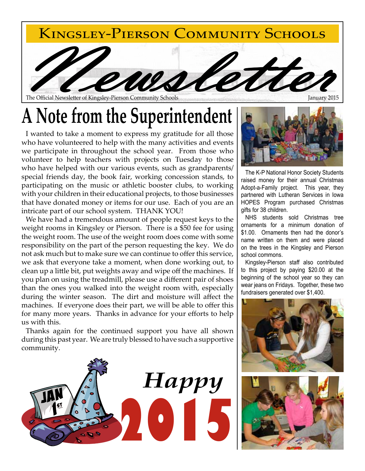

The Official Newsletter of Kingsley-Pierson Community Schools

# **A Note from the Superintendent**

I wanted to take a moment to express my gratitude for all those who have volunteered to help with the many activities and events we participate in throughout the school year. From those who volunteer to help teachers with projects on Tuesday to those who have helped with our various events, such as grandparents/ special friends day, the book fair, working concession stands, to participating on the music or athletic booster clubs, to working with your children in their educational projects, to those businesses that have donated money or items for our use. Each of you are an intricate part of our school system. THANK YOU!

We have had a tremendous amount of people request keys to the weight rooms in Kingsley or Pierson. There is a \$50 fee for using the weight room. The use of the weight room does come with some responsibility on the part of the person requesting the key. We do not ask much but to make sure we can continue to offer this service, we ask that everyone take a moment, when done working out, to clean up a little bit, put weights away and wipe off the machines. If you plan on using the treadmill, please use a different pair of shoes than the ones you walked into the weight room with, especially during the winter season. The dirt and moisture will affect the machines. If everyone does their part, we will be able to offer this for many more years. Thanks in advance for your efforts to help us with this.

Thanks again for the continued support you have all shown during this past year. We are truly blessed to have such a supportive community.





The K-P National Honor Society Students raised money for their annual Christmas Adopt-a-Family project. This year, they partnered with Lutheran Services in Iowa HOPES Program purchased Christmas gifts for 38 children.

NHS students sold Christmas tree ornaments for a minimum donation of \$1.00. Ornaments then had the donor's name written on them and were placed on the trees in the Kingsley and Pierson school commons.

Kingsley-Pierson staff also contributed to this project by paying \$20.00 at the beginning of the school year so they can wear jeans on Fridays. Together, these two fundraisers generated over \$1,400.



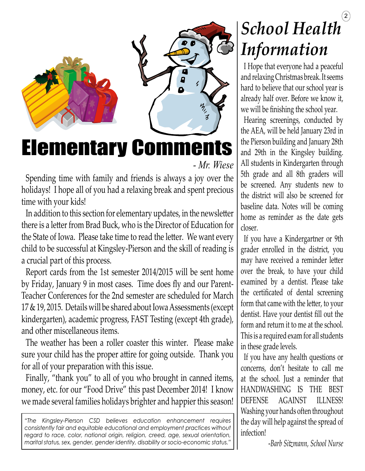

### Elementary Comments *- Mr. Wiese*

Spending time with family and friends is always a joy over the holidays! I hope all of you had a relaxing break and spent precious time with your kids!

In addition to this section for elementary updates, in the newsletter there is a letter from Brad Buck, who is the Director of Education for the State of Iowa. Please take time to read the letter. We want every child to be successful at Kingsley-Pierson and the skill of reading is a crucial part of this process.

Report cards from the 1st semester 2014/2015 will be sent home by Friday, January 9 in most cases. Time does fly and our Parent-Teacher Conferences for the 2nd semester are scheduled for March 17 & 19, 2015. Details will be shared about Iowa Assessments (except kindergarten), academic progress, FAST Testing (except 4th grade), and other miscellaneous items.

The weather has been a roller coaster this winter. Please make sure your child has the proper attire for going outside. Thank you for all of your preparation with this issue.

Finally, "thank you" to all of you who brought in canned items, money, etc. for our "Food Drive" this past December 2014! I know we made several families holidays brighter and happier this season!

*"The Kingsley-Pierson CSD believes education enhancement requires consistently fair and equitable educational and employment practices without regard to race, color, national origin, religion, creed, age, sexual orientation, marital status, sex, gender, gender identity, disability or socio-economic status."*

## $\left( {\bf 2}\right)$ *School Health Information*

I Hope that everyone had a peaceful and relaxing Christmas break. It seems hard to believe that our school year is already half over. Before we know it, we will be finishing the school year. Hearing screenings, conducted by the AEA, will be held January 23rd in the Pierson building and January 28th and 29th in the Kingsley building. All students in Kindergarten through 5th grade and all 8th graders will be screened. Any students new to the district will also be screened for baseline data. Notes will be coming home as reminder as the date gets closer.

If you have a Kindergartner or 9th grader enrolled in the district, you may have received a reminder letter over the break, to have your child examined by a dentist. Please take the certificated of dental screening form that came with the letter, to your dentist. Have your dentist fill out the form and return it to me at the school. This is a required exam for all students in these grade levels.

If you have any health questions or concerns, don't hesitate to call me at the school. Just a reminder that HANDWASHING IS THE BEST DEFENSE AGAINST ILLNESS! Washing your hands often throughout the day will help against the spread of infection!

-*Barb Sitzmann, School Nurse*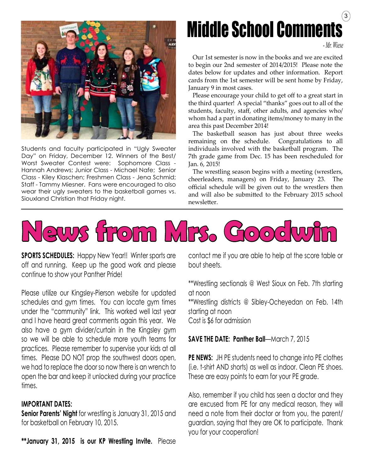

Students and faculty participated in "Ugly Sweater Day" on Friday, December 12. Winners of the Best/ Worst Sweater Contest were: Sophomore Class - Hannah Andrews; Junior Class - Michael Nafe; Senior Class - Kiley Klaschen; Freshmen Class - Jena Schmid; Staff - Tammy Miesner. Fans were encouraged to also wear their ugly sweaters to the basketball games vs. Siouxland Christian that Friday night.

## $\mathbf{(3)}$ Middle School Comments

*- Mr. Wiese*

Our 1st semester is now in the books and we are excited to begin our 2nd semester of 2014/2015! Please note the dates below for updates and other information. Report cards from the 1st semester will be sent home by Friday, January 9 in most cases.

Please encourage your child to get off to a great start in the third quarter! A special "thanks" goes out to all of the students, faculty, staff, other adults, and agencies who/ whom had a part in donating items/money to many in the area this past December 2014!

The basketball season has just about three weeks remaining on the schedule. Congratulations to all individuals involved with the basketball program. The 7th grade game from Dec. 15 has been rescheduled for Jan. 6, 2015!

The wrestling season begins with a meeting (wrestlers, cheerleaders, managers) on Friday, January 23. The official schedule will be given out to the wrestlers then and will also be submitted to the February 2015 school newsletter.



**SPORTS SCHEDULES:** Happy New Year!! Winter sports are off and running. Keep up the good work and please continue to show your Panther Pride!

Please utilize our Kingsley-Pierson website for updated schedules and gym times. You can locate gym times under the "community" link. This worked well last year and I have heard great comments again this year. We also have a gym divider/curtain in the Kingsley gym so we will be able to schedule more youth teams for practices. Please remember to supervise your kids at all times. Please DO NOT prop the southwest doors open, we had to replace the door so now there is an wrench to open the bar and keep it unlocked during your practice times.

#### **IMPORTANT DATES:**

**Senior Parents' Night** for wrestling is January 31, 2015 and for basketball on February 10, 2015.

**\*\*January 31, 2015 is our KP Wrestling Invite.** Please

contact me if you are able to help at the score table or bout sheets.

\*\*Wrestling sectionals @ West Sioux on Feb. 7th starting at noon

\*\*Wrestling districts @ Sibley-Ocheyedan on Feb. 14th starting at noon

Cost is \$6 for admission

#### **SAVE THE DATE: Panther Ball**—March 7, 2015

**PE NEWS:** JH PE students need to change into PE clothes (i.e. t-shirt AND shorts) as well as indoor. Clean PE shoes. These are easy points to earn for your PE grade.

Also, remember if you child has seen a doctor and they are excused from PE for any medical reason, they will need a note from their doctor or from you, the parent/ guardian, saying that they are OK to participate. Thank you for your cooperation!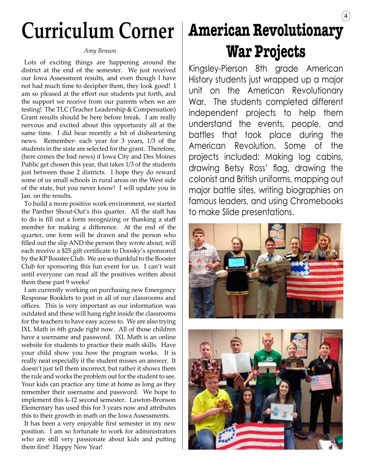# **Curriculum Corner**

#### *Amy Benson*

Lots of exciting things are happening around the district at the end of the semester. We just received our Iowa Assessment results, and even though I have not had much time to decipher them, they look good! I am so pleased at the effort our students put forth, and the support we receive from our parents when we are testing! The TLC (Teacher Leadership & Compensation) Grant results should be here before break. I am really nervous and excited about this opportunity all at the same time. I did hear recently a bit of disheartening news. Remember- each year for 3 years, 1/3 of the students in the state are selected for the grant. Therefore, (here comes the bad news) if Iowa City and Des Moines Public get chosen this year, that takes 1/3 of the students just between those 2 districts. I hope they do reward some of us small schools in rural areas on the West side of the state, but you never know! I will update you in Jan. on the results.

To build a more positive work environment, we started the Panther Shout-Out's this quarter. All the staff has to do is fill out a form recognizing or thanking a staff member for making a difference. At the end of the quarter, one form will be drawn and the person who filled out the slip AND the person they wrote about, will each receive a \$25 gift certificate to Doosky's sponsored by the KP Booster Club. We are so thankful to the Booster Club for sponsoring this fun event for us. I can't wait until everyone can read all the positives written about them these past 9 weeks!

I am currently working on purchasing new Emergency Response Booklets to post in all of our classrooms and offices. This is very important as our information was outdated and these will hang right inside the classrooms for the teachers to have easy access to. We are also trying IXL Math in 6th grade right now. All of those children have a username and password. IXL Math is an online website for students to practice their math skills. Have your child show you how the program works. It is really neat especially if the student misses an answer. It doesn't just tell them incorrect, but rather it shows them the rule and works the problem out for the student to see. Your kids can practice any time at home as long as they remember their username and password. We hope to implement this k-12 second semester. Lawton-Bronson Elementary has used this for 3 years now and attributes this to their growth in math on the Iowa Assessments.

It has been a very enjoyable first semester in my new position. I am so fortunate to work for administrators who are still very passionate about kids and putting them first! Happy New Year!

## **American Revolutionary War Projects**

Kingsley-Pierson 8th grade American History students just wrapped up a major unit on the American Revolutionary War. The students completed different independent projects to help them understand the events, people, and battles that took place during the American Revolution. Some of the projects included: Making log cabins, drawing Betsy Ross' flag, drawing the colonist and British uniforms, mapping out major battle sites, writing biographies on famous leaders, and using Chromebooks to make Slide presentations.





 $\bf (4)$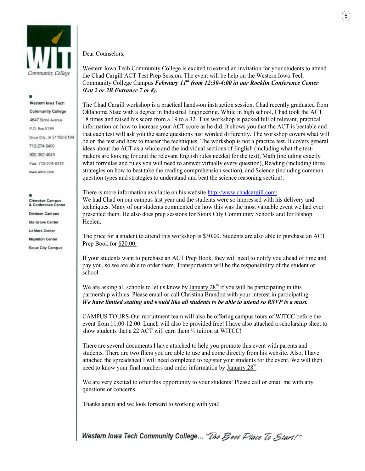

Western Iowa Tech **Community College** 4647 Stone Avenue P.O. Box 5199 Sioux City, 1A 51102-5199 712-274-6400 800-352-4649 Fax: 712-274-6412 www.witch.com

Cherokee Campus & Conference Center

**Denison Campus Ida Grove Center** 

**Le Mars Center** 

**Mapleton Center** 

**Sioux City Campus** 

Dear Counselors,

Western Iowa Tech Community College is excited to extend an invitation for your students to attend the Chad Cargill ACT Test Prep Session. The event will be help on the Western Iowa Tech Community College Campus *February 11th from 12:30-4:00 in our Rocklin Conference Center (Lot 2 or 2B Entrance 7 or 8).*

The Chad Cargill workshop is a practical hands-on instruction session. Chad recently graduated from Oklahoma State with a degree in Industrial Engineering. While in high school, Chad took the ACT 18 times and raised his score from a 19 to a 32. This workshop is packed full of relevant, practical information on how to increase your ACT score as he did. It shows you that the ACT is beatable and that each test will ask you the same questions just worded differently. The workshop covers what will be on the test and how to master the techniques. The workshop is not a practice test. It covers general ideas about the ACT as a whole and the individual sections of English (including what the testmakers are looking for and the relevant English rules needed for the test), Math (including exactly what formulas and rules you will need to answer virtually every question), Reading (including three strategies on how to best take the reading comprehension section), and Science (including common question types and strategies to understand and beat the science reasoning section).

There is more information available on his website http://www.chadcargill.com/. We had Chad on our campus last year and the students were so impressed with his delivery and techniques. Many of our students commented on how this was the most valuable event we had ever presented them. He also does prep sessions for Sioux City Community Schools and for Bishop Heelen.

The price for a student to attend this workshop is \$30.00. Students are also able to purchase an ACT Prep Book for \$20.00.

If your students want to purchase an ACT Prep Book, they will need to notify you ahead of time and pay you, so we are able to order them. Transportation will be the responsibility of the student or school.

We are asking all schools to let us know by  $\text{January } 28^{\text{th}}$  if you will be participating in this partnership with us. Please email or call Christina Brandon with your interest in participating. *We have limited seating and would like all students to be able to attend so RSVP is a must.* 

CAMPUS TOURS-Our recruitment team will also be offering campus tours of WITCC before the event from 11:00-12:00. Lunch will also be provided free! I have also attached a scholarship sheet to show students that a 22 ACT will earn them ½ tuition at WITCC!

There are several documents I have attached to help you promote this event with parents and students. There are two fliers you are able to use and come directly from his website. Also, I have attached the spreadsheet I will need completed to register your students for the event. We will then need to know your final numbers and order information by January 28<sup>th</sup>.

We are very excited to offer this opportunity to your students! Please call or email me with any questions or concerns.

Thanks again and we look forward to working with you!

Western lowa Tech Community College... "The Best Place To Start!"

5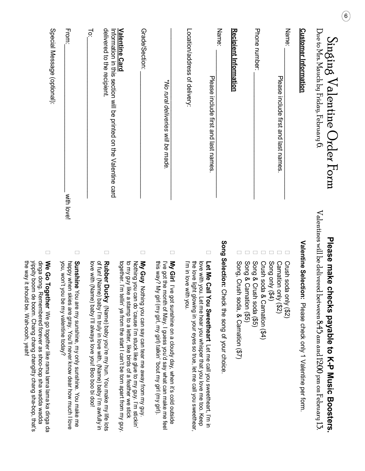|                         | Special Message (optional):                                                                                              |
|-------------------------|--------------------------------------------------------------------------------------------------------------------------|
| with love!              | From:                                                                                                                    |
|                         | Fö.                                                                                                                      |
|                         | delivered to the recipient<br>Information in this section will be printed on the Valentine card<br><b>Valentine Card</b> |
|                         | Grade/Section:                                                                                                           |
|                         | *No rural deliveries will be made.                                                                                       |
|                         | Location/address of delivery:                                                                                            |
|                         | Name:<br>Please include first and last names                                                                             |
|                         | <u>Recipient Information</u>                                                                                             |
|                         | Phone number:                                                                                                            |
|                         | Name:<br>Please include first and last names.                                                                            |
|                         | <u>Customer Information</u>                                                                                              |
| $\rm V_{\rm{alentine}}$ | Due to Mrs. Mauch by Friday, February 6.<br>Singing Valentine Order Form                                                 |

# Please make checks payable to K-P Music Boosters. **Please make checks payable to K-P Music Boosters.**

 $\epsilon$ 

Valentines will be delivered between 8:45 am and 12:00 pm on February 13. as will be delivered between 8:45 am and 12:00 pm on February 13

Valentine Selection: Please check only 1 Valentine per form. **Valentine Selection:** Please check only 1 Valentine per form.

- Crush soda only (\$2) Crush soda only (\$2)
- Carnation only (\$2) Carnation only (\$2)
- Song only (\$4) Song only (\$4)
- Crush soda & Carnation (\$4) Crush soda & Carnation (\$4)
- Song & Crush soda (\$5)
- Song & Crush soda (\$5)<br>Song & Carnation (\$5) Song & Carnation (\$5)
- Song, Crush soda, & Carnation (\$7) Song, Crush soda, & Carnation (\$7)
- 

Song Selection: Check the song of your choice **Song Selection:** Check the song of your choice.

- $\Box$ I'm in love with you. the love light glowing in your eyes so true, let me call you sweethear, Let Me Call You Sweetheart Let me call you sweetheart, I'm in the love light glowing in your eyes so true, let me call you sweethear, love with you. Let me hear you whisper that you love me too. Keep love with you. Let me hear you whisper that you love me too. Keep I'm in love with you. **Let Me Call You Sweetheart** Let me call you sweetheart, I'm in
- $\Box$ My Girl I've got sunshine on a cloudy day, when it's cold outside I've got sunshine on a cloudy day, when it's cold outside ے<br>آ got the month of May. I guess you $\vec{\mathsf{d}}$ say what can make me feel this way? My girl (my girl, my girl) talkin' 'bout my girl (my girl).
- $\Box$ to my guy like a stamp to a letter, like birds of a feather we stick Nothing you can do 'cause I'm stuck like glue to my guy. I'm stickin' **My Guy** Nothing you can say can tear me away from my guy. together. I'm tellin' ya from the start I can't be torn apart from my guy. together. I'm tellin' ya from the start I can't be torn apart from my guy. to my guy like a stamp to a letter, like birds of a feather we stick Nothing you can do 'cause I'm stuck like glue to my guy. I'm stickin' Nothing you can say can tear me away from my guy.
- $\Box$ of fun! (Name) baby I'm truly in love with, (Name) baby I'm awfully in Rubber Ducky (Name) baby you're my hun. You make my life lots love with (Name) baby I'll always love you! Boo boo bi doo! love with (Name) baby I'll always love you! Boo boo bi doo! of fun! (Name) baby I'm truly in love with, (Name) baby I'm awfully in **Rubber Ducky** (Name) baby you're my hun. You make my life lots
- $\Box$ you, won't you be my valentine today? happy when skies are gray. You'll never know dear how much I love Sunshine You are my sunshine, my only sunshine. You make me you, won't you be my valentine today? **Sunshine** happy when skies are gray. You'll never know dear how much I love You are my sunshine, my only sunshine. You make me
- $\Box$ dinga dong. Remembered forever as shoo-bop sha wadda wadda yippity boom de boom. Chang chang changitty chang sha-bop, that's the way it should be. Wah-oooh, yeah! the way it should be. Wah-oooh, yeah!yippity boom de boom. Chang chang changitty chang shadinga dong. Remembered forever as shoo-bop sha wadda wadda We Go Together We go together like rama lama lama ka dinga da **We Go Together** We go together like rama lama lama ka dinga da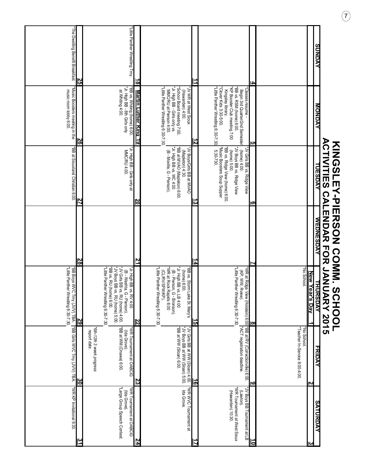| נ<br>2<br>-<br>ソーニューロの つ                   | <br> <br> <br> <br> <br> <br><br>        |
|--------------------------------------------|------------------------------------------|
| $\frac{1}{6}$                              |                                          |
| <b>SALENDARY</b>                           | i<br><b>1FTス<br/>DISCIN</b>              |
|                                            | ì<br>$\overline{\underline{\mathsf{C}}}$ |
| <b>FOR JANUARY</b>                         | ر<br>د<br>▪                              |
|                                            | <b>SCHOOL</b>                            |
| Ž<br>Δ<br>Δ<br>Δ<br>Δ<br>Ī.<br><b>2015</b> |                                          |

| *The Dwelling Benefit Breakfast.                                          | 52  | *Little Panther Wrestling Tmy.                                                                                                                                                                      | $\bar{\bm{\alpha}}$          |                                                                                                                                                                                                |                |                                                                                                                                                                                                        | 4        |                                              |                | <u>yanns</u>     |
|---------------------------------------------------------------------------|-----|-----------------------------------------------------------------------------------------------------------------------------------------------------------------------------------------------------|------------------------------|------------------------------------------------------------------------------------------------------------------------------------------------------------------------------------------------|----------------|--------------------------------------------------------------------------------------------------------------------------------------------------------------------------------------------------------|----------|----------------------------------------------|----------------|------------------|
| Music Boosters meeting in the<br>music room lobby 6:00.                   | ခြ  | *BB vs. Whiting (home) 6:00<br>*Jr. High BB - 8th Girls only<br>at Whiting 4:00.                                                                                                                    | <u>Martin Luther King 19</u> | *Little Panther Wrestling 6:30-7:30<br>*School Board meeting 7:00.<br>*Jr. High BB - Girls only vs.<br>WR at West Sioux<br>MMC/RU at Pierson 4:00.<br>(Hawarden) 4:00.                         | 5              | *Little Panther Wrestling 6:30-7:30<br>*Clover Kids 3:30-5:00.<br>*KP Booster Club meeting 7:00<br>*BB vs. RSM (home) 6:00.<br>Classes resume -<br>Kingsley library.<br>Begin 3rd Quarter/2nd Semester | <b>G</b> |                                              |                | <b>AAQNOM</b>    |
| *BB at Siouxland Christian 6:00                                           | N   | *Jr. High BB - Girls only at<br>MMC/RU 4:00.                                                                                                                                                        | 20                           | *Jr. High BB vs. WC 4:00<br>*BB at MVAO (Mapleton) 6:00<br>"OA Boys/Girls BB at MVAO<br>(Mapleton) 4:30.<br>(B - Moville, G - Pierson).                                                        | <u>င</u>       | "Music Boosters Soup Supper<br>rl<br>*JV Boys BB vs. Ridge View<br>  _ (nome) 5:00.<br>  _ (nome) 5:00.<br>*BB vs. Ridge View (home) 6:00.<br>JV Girls BB vs. Ridge View<br>5:30-730.                  | ത        |                                              |                | <u>ruesday</u>   |
|                                                                           | 28  |                                                                                                                                                                                                     |                              |                                                                                                                                                                                                | 14             |                                                                                                                                                                                                        |          |                                              |                | <b>WEDNESDAY</b> |
| *Little Panther<br>BB Boys WVC<br>Wrestling 6:30-7:30<br>Trny (JV/V) TBA. | 29  | *JV Girls BB vs. RU (home) 4:00.<br>*JV Boys BB vs. RU (home) 5:00.<br>*Little Panther Wrestling 6:30-7:30<br>*BB vs. RU (home) 6:00.<br>Jr. High BB vs. RV 4:00<br>(B - Washta,<br>, G - Pierson). | $\overline{22}$              | *Little Panther<br>*WR at Rock Rapids 6:00<br>*Jr. High BB vs. LB 4:00<br>BB vs. Stom Lake St. Mary's<br>(B - Pierson, G - Bronson).<br>(home) 6:00.<br>(CL/RV/SFW/KP).<br>Wrestling 6:30-7:30 | G              | (KP, WW, Rview).<br> *Little Panther Wrestling 6:30-7:30<br>*WR at Ridge<br>View (Holstein) 6:00                                                                                                       | œ        | No School.                                   | New Year's Day | <b>THURSDAY</b>  |
| *BB Girls WVC Trny (JV/V) TBA.                                            | မြိ | *BB at WM (Onawa) 6:00.<br>*6th-12th 3 week progress<br>*WR Toumament at OABCIG<br>report date<br>(lda Grove)                                                                                       |                              | *BB at WW (Sloan) 6:00.<br>*JV Girls BB at WW (Sloan) 4:00.<br>*JV Girls BB at WW (Sloan) 4:00.                                                                                                | $\overline{9}$ | FBB at RV (Correctionville) 6:00.<br>*ACT registration deadline.                                                                                                                                       | G        | *Teacher In-Service 8:00-4:00.<br>No School. |                | FRIDAY           |
| "WR KP Invitational 9:30                                                  |     | "Large Group Speech Contest.<br>"WR Tournament at OABCIG<br>(lda Grove)                                                                                                                             | 12                           | "WR WVC Tournament at<br>Ida Grove.                                                                                                                                                            |                | *WR Tournament at West Sioux<br>(Hawarden) 10:30.<br>"JV Boys BB Toumament at LB<br>(Lawton).                                                                                                          | io       |                                              |                | SATURDAY         |